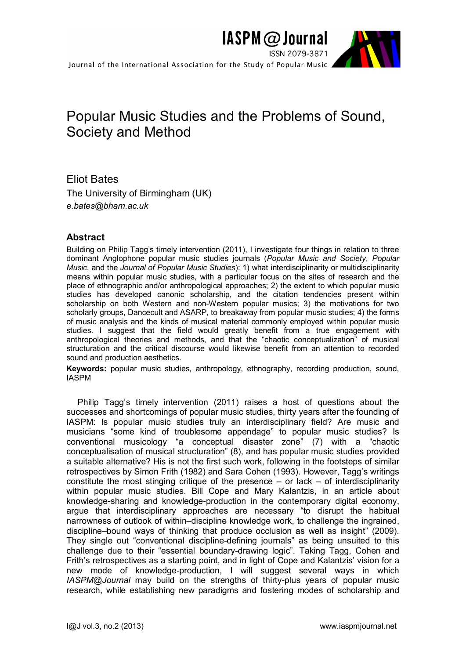

# Popular Music Studies and the Problems of Sound, Society and Method

Eliot Bates The University of Birmingham (UK) *e.bates@bham.ac.uk*

## **Abstract**

Building on Philip Tagg's timely intervention (2011), I investigate four things in relation to three dominant Anglophone popular music studies journals (*Popular Music and Society*, *Popular Music*, and the *Journal of Popular Music Studies*): 1) what interdisciplinarity or multidisciplinarity means within popular music studies, with a particular focus on the sites of research and the place of ethnographic and/or anthropological approaches; 2) the extent to which popular music studies has developed canonic scholarship, and the citation tendencies present within scholarship on both Western and non-Western popular musics; 3) the motivations for two scholarly groups, Dancecult and ASARP, to breakaway from popular music studies; 4) the forms of music analysis and the kinds of musical material commonly employed within popular music studies. I suggest that the field would greatly benefit from a true engagement with anthropological theories and methods, and that the "chaotic conceptualization" of musical structuration and the critical discourse would likewise benefit from an attention to recorded sound and production aesthetics.

**Keywords:** popular music studies, anthropology, ethnography, recording production, sound, IASPM

Philip Tagg's timely intervention (2011) raises a host of questions about the successes and shortcomings of popular music studies, thirty years after the founding of IASPM: Is popular music studies truly an interdisciplinary field? Are music and musicians "some kind of troublesome appendage" to popular music studies? Is conventional musicology "a conceptual disaster zone" (7) with a "chaotic conceptualisation of musical structuration" (8), and has popular music studies provided a suitable alternative? His is not the first such work, following in the footsteps of similar retrospectives by Simon Frith (1982) and Sara Cohen (1993). However, Tagg's writings constitute the most stinging critique of the presence  $-$  or lack  $-$  of interdisciplinarity within popular music studies. Bill Cope and Mary Kalantzis, in an article about knowledge-sharing and knowledge-production in the contemporary digital economy, argue that interdisciplinary approaches are necessary "to disrupt the habitual narrowness of outlook of within–discipline knowledge work, to challenge the ingrained, discipline–bound ways of thinking that produce occlusion as well as insight" (2009). They single out "conventional discipline-defining journals" as being unsuited to this challenge due to their "essential boundary-drawing logic". Taking Tagg, Cohen and Frith's retrospectives as a starting point, and in light of Cope and Kalantzis' vision for a new mode of knowledge-production, I will suggest several ways in which *IASPM@Journal* may build on the strengths of thirty-plus years of popular music research, while establishing new paradigms and fostering modes of scholarship and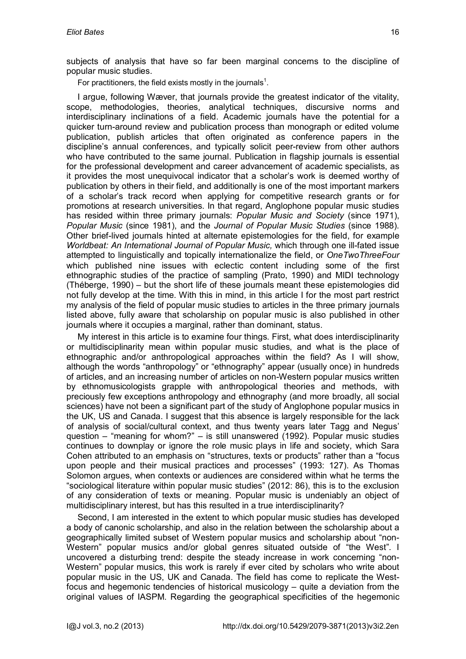subjects of analysis that have so far been marginal concerns to the discipline of popular music studies.

For practitioners, the field exists mostly in the journals<sup>1</sup>[.](#page-12-0)

I argue, following Wæver, that journals provide the greatest indicator of the vitality, scope, methodologies, theories, analytical techniques, discursive norms and interdisciplinary inclinations of a field. Academic journals have the potential for a quicker turn-around review and publication process than monograph or edited volume publication, publish articles that often originated as conference papers in the discipline's annual conferences, and typically solicit peer-review from other authors who have contributed to the same journal. Publication in flagship journals is essential for the professional development and career advancement of academic specialists, as it provides the most unequivocal indicator that a scholar's work is deemed worthy of publication by others in their field, and additionally is one of the most important markers of a scholar's track record when applying for competitive research grants or for promotions at research universities. In that regard, Anglophone popular music studies has resided within three primary journals: *Popular Music and Society* (since 1971), *Popular Music* (since 1981), and the *Journal of Popular Music Studies* (since 1988). Other brief-lived journals hinted at alternate epistemologies for the field, for example *Worldbeat: An International Journal of Popular Music,* which through one ill-fated issue attempted to linguistically and topically internationalize the field, or *OneTwoThreeFour* which published nine issues with eclectic content including some of the first ethnographic studies of the practice of sampling (Prato, 1990) and MIDI technology (Théberge, 1990) – but the short life of these journals meant these epistemologies did not fully develop at the time. With this in mind, in this article I for the most part restrict my analysis of the field of popular music studies to articles in the three primary journals listed above, fully aware that scholarship on popular music is also published in other journals where it occupies a marginal, rather than dominant, status.

My interest in this article is to examine four things. First, what does interdisciplinarity or multidisciplinarity mean within popular music studies, and what is the place of ethnographic and/or anthropological approaches within the field? As I will show, although the words "anthropology" or "ethnography" appear (usually once) in hundreds of articles, and an increasing number of articles on non-Western popular musics written by ethnomusicologists grapple with anthropological theories and methods, with preciously few exceptions anthropology and ethnography (and more broadly, all social sciences) have not been a significant part of the study of Anglophone popular musics in the UK, US and Canada. I suggest that this absence is largely responsible for the lack of analysis of social/cultural context, and thus twenty years later Tagg and Negus' question – "meaning for whom?" – is still unanswered (1992). Popular music studies continues to downplay or ignore the role music plays in life and society, which Sara Cohen attributed to an emphasis on "structures, texts or products" rather than a "focus upon people and their musical practices and processes" (1993: 127). As Thomas Solomon argues, when contexts or audiences are considered within what he terms the "sociological literature within popular music studies" (2012: 86), this is to the exclusion of any consideration of texts or meaning. Popular music is undeniably an object of multidisciplinary interest, but has this resulted in a true interdisciplinarity?

Second, I am interested in the extent to which popular music studies has developed a body of canonic scholarship, and also in the relation between the scholarship about a geographically limited subset of Western popular musics and scholarship about "non-Western" popular musics and/or global genres situated outside of "the West". I uncovered a disturbing trend: despite the steady increase in work concerning "non-Western" popular musics, this work is rarely if ever cited by scholars who write about popular music in the US, UK and Canada. The field has come to replicate the Westfocus and hegemonic tendencies of historical musicology – quite a deviation from the original values of IASPM. Regarding the geographical specificities of the hegemonic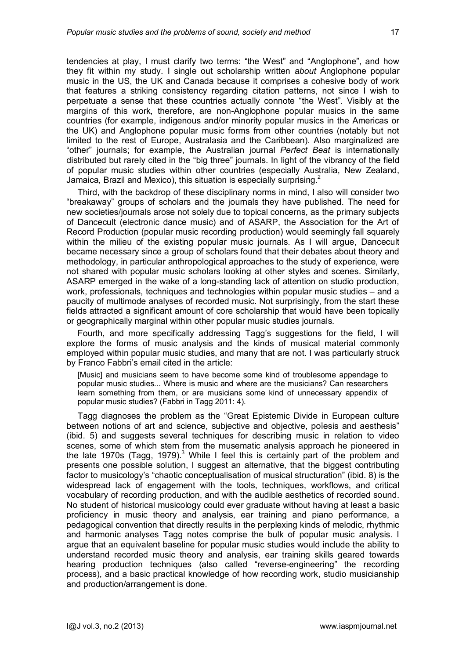tendencies at play, I must clarify two terms: "the West" and "Anglophone", and how they fit within my study. I single out scholarship written *about* Anglophone popular music in the US, the UK and Canada because it comprises a cohesive body of work that features a striking consistency regarding citation patterns, not since I wish to perpetuate a sense that these countries actually connote "the West". Visibly at the margins of this work, therefore, are non-Anglophone popular musics in the same countries (for example, indigenous and/or minority popular musics in the Americas or the UK) and Anglophone popular music forms from other countries (notably but not limited to the rest of Europe, Australasia and the Caribbean). Also marginalized are "other" journals; for example, the Australian journal *Perfect Beat* is internationally distributed but rarely cited in the "big three" journals. In light of the vibrancy of the field of popular music studies within other countries (especially Australia, New Zealand, Jamaica, Brazil and Mexico), this situation is especially surprising[.](#page-12-1) $^{2}$ 

Third, with the backdrop of these disciplinary norms in mind, I also will consider two "breakaway" groups of scholars and the journals they have published. The need for new societies/journals arose not solely due to topical concerns, as the primary subjects of Dancecult (electronic dance music) and of ASARP, the Association for the Art of Record Production (popular music recording production) would seemingly fall squarely within the milieu of the existing popular music journals. As I will argue, Dancecult became necessary since a group of scholars found that their debates about theory and methodology, in particular anthropological approaches to the study of experience, were not shared with popular music scholars looking at other styles and scenes. Similarly, ASARP emerged in the wake of a long-standing lack of attention on studio production, work, professionals, techniques and technologies within popular music studies – and a paucity of multimode analyses of recorded music. Not surprisingly, from the start these fields attracted a significant amount of core scholarship that would have been topically or geographically marginal within other popular music studies journals.

Fourth, and more specifically addressing Tagg's suggestions for the field, I will explore the forms of music analysis and the kinds of musical material commonly employed within popular music studies, and many that are not. I was particularly struck by Franco Fabbri's email cited in the article:

[Music] and musicians seem to have become some kind of troublesome appendage to popular music studies... Where is music and where are the musicians? Can researchers learn something from them, or are musicians some kind of unnecessary appendix of popular music studies? (Fabbri in Tagg 2011: 4).

Tagg diagnoses the problem as the "Great Epistemic Divide in European culture between notions of art and science, subjective and objective, poïesis and aesthesis" (ibid. 5) and suggests several techniques for describing music in relation to video scenes, some of which stem from the musematic analysis approach he pioneered in the late 1970s (Tagg, 1979).<sup>[3](#page-12-2)</sup> While I feel this is certainly part of the problem and presents one possible solution, I suggest an alternative, that the biggest contributing factor to musicology's "chaotic conceptualisation of musical structuration" (ibid. 8) is the widespread lack of engagement with the tools, techniques, workflows, and critical vocabulary of recording production, and with the audible aesthetics of recorded sound. No student of historical musicology could ever graduate without having at least a basic proficiency in music theory and analysis, ear training and piano performance, a pedagogical convention that directly results in the perplexing kinds of melodic, rhythmic and harmonic analyses Tagg notes comprise the bulk of popular music analysis. I argue that an equivalent baseline for popular music studies would include the ability to understand recorded music theory and analysis, ear training skills geared towards hearing production techniques (also called "reverse-engineering" the recording process), and a basic practical knowledge of how recording work, studio musicianship and production/arrangement is done.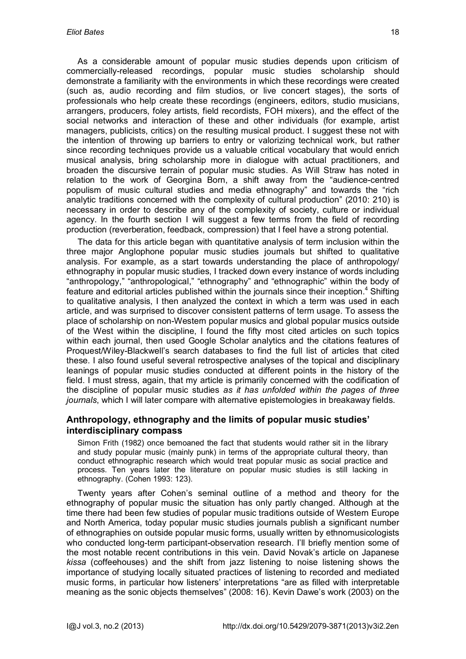As a considerable amount of popular music studies depends upon criticism of commercially-released recordings, popular music studies scholarship should demonstrate a familiarity with the environments in which these recordings were created (such as, audio recording and film studios, or live concert stages), the sorts of professionals who help create these recordings (engineers, editors, studio musicians, arrangers, producers, foley artists, field recordists, FOH mixers), and the effect of the social networks and interaction of these and other individuals (for example, artist managers, publicists, critics) on the resulting musical product. I suggest these not with the intention of throwing up barriers to entry or valorizing technical work, but rather since recording techniques provide us a valuable critical vocabulary that would enrich musical analysis, bring scholarship more in dialogue with actual practitioners, and broaden the discursive terrain of popular music studies. As Will Straw has noted in relation to the work of Georgina Born, a shift away from the "audience-centred populism of music cultural studies and media ethnography" and towards the "rich analytic traditions concerned with the complexity of cultural production" (2010: 210) is necessary in order to describe any of the complexity of society, culture or individual agency. In the fourth section I will suggest a few terms from the field of recording production (reverberation, feedback, compression) that I feel have a strong potential.

The data for this article began with quantitative analysis of term inclusion within the three major Anglophone popular music studies journals but shifted to qualitative analysis. For example, as a start towards understanding the place of anthropology/ ethnography in popular music studies, I tracked down every instance of words including "anthropology," "anthropological," "ethnography" and "ethnographic" within the body of feature and editorial articles published within the journals since their inception.<sup>[4](#page-12-3)</sup> Shifting to qualitative analysis, I then analyzed the context in which a term was used in each article, and was surprised to discover consistent patterns of term usage. To assess the place of scholarship on non-Western popular musics and global popular musics outside of the West within the discipline, I found the fifty most cited articles on such topics within each journal, then used Google Scholar analytics and the citations features of Proquest/Wiley-Blackwell's search databases to find the full list of articles that cited these. I also found useful several retrospective analyses of the topical and disciplinary leanings of popular music studies conducted at different points in the history of the field. I must stress, again, that my article is primarily concerned with the codification of the discipline of popular music studies *as it has unfolded within the pages of three journals*, which I will later compare with alternative epistemologies in breakaway fields.

## **Anthropology, ethnography and the limits of popular music studies' interdisciplinary compass**

Simon Frith (1982) once bemoaned the fact that students would rather sit in the library and study popular music (mainly punk) in terms of the appropriate cultural theory, than conduct ethnographic research which would treat popular music as social practice and process. Ten years later the literature on popular music studies is still lacking in ethnography. (Cohen 1993: 123).

Twenty years after Cohen's seminal outline of a method and theory for the ethnography of popular music the situation has only partly changed. Although at the time there had been few studies of popular music traditions outside of Western Europe and North America, today popular music studies journals publish a significant number of ethnographies on outside popular music forms, usually written by ethnomusicologists who conducted long-term participant-observation research. I'll briefly mention some of the most notable recent contributions in this vein. David Novak's article on Japanese *kissa* (coffeehouses) and the shift from jazz listening to noise listening shows the importance of studying locally situated practices of listening to recorded and mediated music forms, in particular how listeners' interpretations "are as filled with interpretable meaning as the sonic objects themselves" (2008: 16). Kevin Dawe's work (2003) on the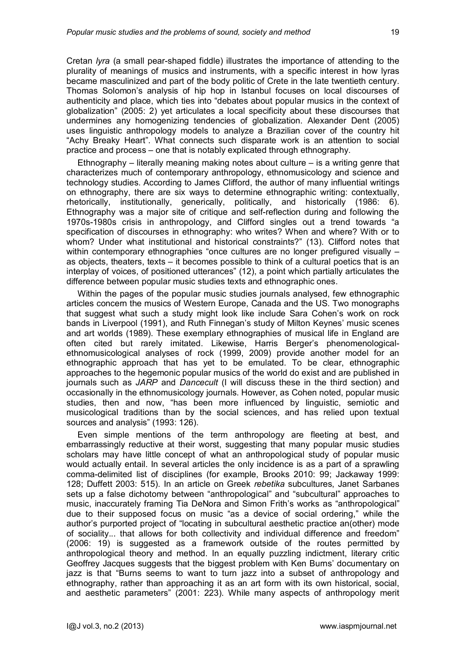Cretan *lyra* (a small pear-shaped fiddle) illustrates the importance of attending to the plurality of meanings of musics and instruments, with a specific interest in how lyras became masculinized and part of the body politic of Crete in the late twentieth century. Thomas Solomon's analysis of hip hop in Istanbul focuses on local discourses of authenticity and place, which ties into "debates about popular musics in the context of globalization" (2005: 2) yet articulates a local specificity about these discourses that undermines any homogenizing tendencies of globalization. Alexander Dent (2005) uses linguistic anthropology models to analyze a Brazilian cover of the country hit "Achy Breaky Heart". What connects such disparate work is an attention to social practice and process – one that is notably explicated through ethnography.

Ethnography – literally meaning making notes about culture – is a writing genre that characterizes much of contemporary anthropology, ethnomusicology and science and technology studies. According to James Clifford, the author of many influential writings on ethnography, there are six ways to determine ethnographic writing: contextually, rhetorically, institutionally, generically, politically, and historically (1986: 6). Ethnography was a major site of critique and self-reflection during and following the 1970s-1980s crisis in anthropology, and Clifford singles out a trend towards "a specification of discourses in ethnography: who writes? When and where? With or to whom? Under what institutional and historical constraints?" (13). Clifford notes that within contemporary ethnographies "once cultures are no longer prefigured visually as objects, theaters, texts – it becomes possible to think of a cultural poetics that is an interplay of voices, of positioned utterances" (12), a point which partially articulates the difference between popular music studies texts and ethnographic ones.

Within the pages of the popular music studies journals analysed, few ethnographic articles concern the musics of Western Europe, Canada and the US. Two monographs that suggest what such a study might look like include Sara Cohen's work on rock bands in Liverpool (1991), and Ruth Finnegan's study of Milton Keynes' music scenes and art worlds (1989). These exemplary ethnographies of musical life in England are often cited but rarely imitated. Likewise, Harris Berger's phenomenologicalethnomusicological analyses of rock (1999, 2009) provide another model for an ethnographic approach that has yet to be emulated. To be clear, ethnographic approaches to the hegemonic popular musics of the world do exist and are published in journals such as *JARP* and *Dancecult* (I will discuss these in the third section) and occasionally in the ethnomusicology journals. However, as Cohen noted, popular music studies, then and now, "has been more influenced by linguistic, semiotic and musicological traditions than by the social sciences, and has relied upon textual sources and analysis" (1993: 126).

Even simple mentions of the term anthropology are fleeting at best, and embarrassingly reductive at their worst, suggesting that many popular music studies scholars may have little concept of what an anthropological study of popular music would actually entail. In several articles the only incidence is as a part of a sprawling comma-delimited list of disciplines (for example, Brooks 2010: 99; Jackaway 1999: 128; Duffett 2003: 515). In an article on Greek *rebetika* subcultures, Janet Sarbanes sets up a false dichotomy between "anthropological" and "subcultural" approaches to music, inaccurately framing Tia DeNora and Simon Frith's works as "anthropological" due to their supposed focus on music "as a device of social ordering," while the author's purported project of "locating in subcultural aesthetic practice an(other) mode of sociality... that allows for both collectivity and individual difference and freedom" (2006: 19) is suggested as a framework outside of the routes permitted by anthropological theory and method. In an equally puzzling indictment, literary critic Geoffrey Jacques suggests that the biggest problem with Ken Burns' documentary on jazz is that "Burns seems to want to turn jazz into a subset of anthropology and ethnography, rather than approaching it as an art form with its own historical, social, and aesthetic parameters" (2001: 223). While many aspects of anthropology merit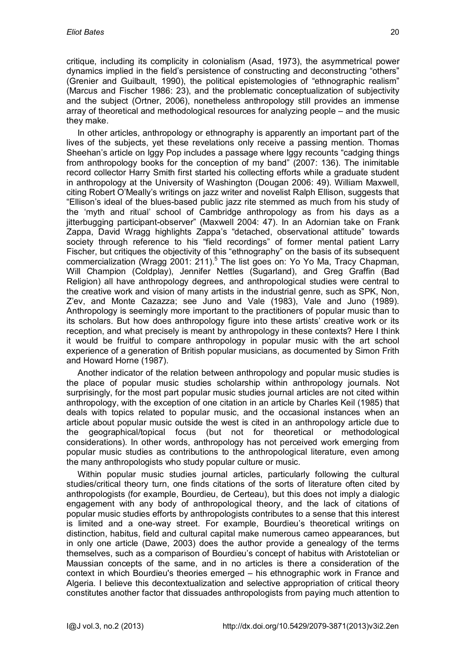critique, including its complicity in colonialism (Asad, 1973), the asymmetrical power dynamics implied in the field's persistence of constructing and deconstructing "others" (Grenier and Guilbault, 1990), the political epistemologies of "ethnographic realism" (Marcus and Fischer 1986: 23), and the problematic conceptualization of subjectivity and the subject (Ortner, 2006), nonetheless anthropology still provides an immense array of theoretical and methodological resources for analyzing people – and the music they make.

In other articles, anthropology or ethnography is apparently an important part of the lives of the subjects, yet these revelations only receive a passing mention. Thomas Sheehan's article on Iggy Pop includes a passage where Iggy recounts "cadging things from anthropology books for the conception of my band" (2007: 136). The inimitable record collector Harry Smith first started his collecting efforts while a graduate student in anthropology at the University of Washington (Dougan 2006: 49). William Maxwell, citing Robert O'Meally's writings on jazz writer and novelist Ralph Ellison, suggests that "Ellison's ideal of the blues-based public jazz rite stemmed as much from his study of the 'myth and ritual' school of Cambridge anthropology as from his days as a jitterbugging participant-observer" (Maxwell 2004: 47). In an Adornian take on Frank Zappa, David Wragg highlights Zappa's "detached, observational attitude" towards society through reference to his "field recordings" of former mental patient Larry Fischer, but critiques the objectivity of this "ethnography" on the basis of its subsequent commercialization (Wragg 2001: 211).<sup>[5](#page-12-4)</sup> The list goes on: Yo Yo Ma, Tracy Chapman, Will Champion (Coldplay), Jennifer Nettles (Sugarland), and Greg Graffin (Bad Religion) all have anthropology degrees, and anthropological studies were central to the creative work and vision of many artists in the industrial genre, such as SPK, Non, Z'ev, and Monte Cazazza; see Juno and Vale (1983), Vale and Juno (1989). Anthropology is seemingly more important to the practitioners of popular music than to its scholars. But how does anthropology figure into these artists' creative work or its reception, and what precisely is meant by anthropology in these contexts? Here I think it would be fruitful to compare anthropology in popular music with the art school experience of a generation of British popular musicians, as documented by Simon Frith and Howard Horne (1987).

Another indicator of the relation between anthropology and popular music studies is the place of popular music studies scholarship within anthropology journals. Not surprisingly, for the most part popular music studies journal articles are not cited within anthropology, with the exception of one citation in an article by Charles Keil (1985) that deals with topics related to popular music, and the occasional instances when an article about popular music outside the west is cited in an anthropology article due to the geographical/topical focus (but not for theoretical or methodological considerations). In other words, anthropology has not perceived work emerging from popular music studies as contributions to the anthropological literature, even among the many anthropologists who study popular culture or music.

Within popular music studies journal articles, particularly following the cultural studies/critical theory turn, one finds citations of the sorts of literature often cited by anthropologists (for example, Bourdieu, de Certeau), but this does not imply a dialogic engagement with any body of anthropological theory, and the lack of citations of popular music studies efforts by anthropologists contributes to a sense that this interest is limited and a one-way street. For example, Bourdieu's theoretical writings on distinction, habitus, field and cultural capital make numerous cameo appearances, but in only one article (Dawe, 2003) does the author provide a genealogy of the terms themselves, such as a comparison of Bourdieu's concept of habitus with Aristotelian or Maussian concepts of the same, and in no articles is there a consideration of the context in which Bourdieu's theories emerged – his ethnographic work in France and Algeria. I believe this decontextualization and selective appropriation of critical theory constitutes another factor that dissuades anthropologists from paying much attention to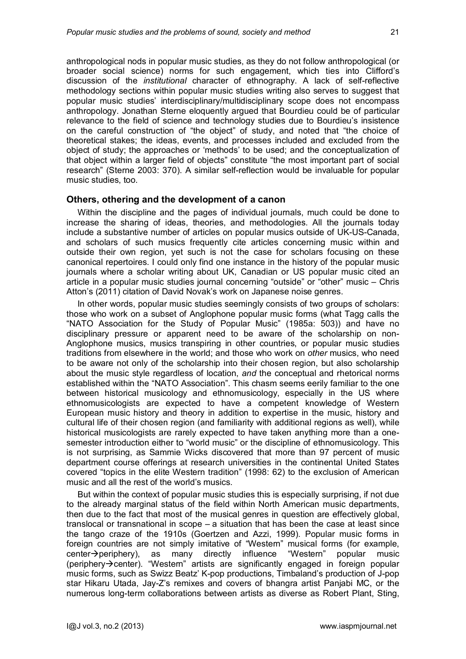anthropological nods in popular music studies, as they do not follow anthropological (or broader social science) norms for such engagement, which ties into Clifford's discussion of the *institutional* character of ethnography. A lack of self-reflective methodology sections within popular music studies writing also serves to suggest that popular music studies' interdisciplinary/multidisciplinary scope does not encompass anthropology. Jonathan Sterne eloquently argued that Bourdieu could be of particular relevance to the field of science and technology studies due to Bourdieu's insistence on the careful construction of "the object" of study, and noted that "the choice of theoretical stakes; the ideas, events, and processes included and excluded from the object of study; the approaches or 'methods' to be used; and the conceptualization of that object within a larger field of objects" constitute "the most important part of social research" (Sterne 2003: 370). A similar self-reflection would be invaluable for popular music studies, too.

#### **Others, othering and the development of a canon**

Within the discipline and the pages of individual journals, much could be done to increase the sharing of ideas, theories, and methodologies. All the journals today include a substantive number of articles on popular musics outside of UK-US-Canada, and scholars of such musics frequently cite articles concerning music within and outside their own region, yet such is not the case for scholars focusing on these canonical repertoires. I could only find one instance in the history of the popular music journals where a scholar writing about UK, Canadian or US popular music cited an article in a popular music studies journal concerning "outside" or "other" music – Chris Atton's (2011) citation of David Novak's work on Japanese noise genres.

In other words, popular music studies seemingly consists of two groups of scholars: those who work on a subset of Anglophone popular music forms (what Tagg calls the "NATO Association for the Study of Popular Music" (1985a: 503)) and have no disciplinary pressure or apparent need to be aware of the scholarship on non-Anglophone musics, musics transpiring in other countries, or popular music studies traditions from elsewhere in the world; and those who work on *other* musics, who need to be aware not only of the scholarship into their chosen region, but also scholarship about the music style regardless of location, *and* the conceptual and rhetorical norms established within the "NATO Association". This chasm seems eerily familiar to the one between historical musicology and ethnomusicology, especially in the US where ethnomusicologists are expected to have a competent knowledge of Western European music history and theory in addition to expertise in the music, history and cultural life of their chosen region (and familiarity with additional regions as well), while historical musicologists are rarely expected to have taken anything more than a onesemester introduction either to "world music" or the discipline of ethnomusicology. This is not surprising, as Sammie Wicks discovered that more than 97 percent of music department course offerings at research universities in the continental United States covered "topics in the elite Western tradition" (1998: 62) to the exclusion of American music and all the rest of the world's musics.

But within the context of popular music studies this is especially surprising, if not due to the already marginal status of the field within North American music departments, then due to the fact that most of the musical genres in question are effectively global, translocal or transnational in scope – a situation that has been the case at least since the tango craze of the 1910s (Goertzen and Azzi, 1999). Popular music forms in foreign countries are not simply imitative of "Western" musical forms (for example,  $center\rightarrow$  periphery), as many directly influence "Western" popular music (periphery $\rightarrow$ center). "Western" artists are significantly engaged in foreign popular music forms, such as Swizz Beatz' K-pop productions, Timbaland's production of J-pop star Hikaru Utada, Jay-Z's remixes and covers of bhangra artist Panjabi MC, or the numerous long-term collaborations between artists as diverse as Robert Plant, Sting,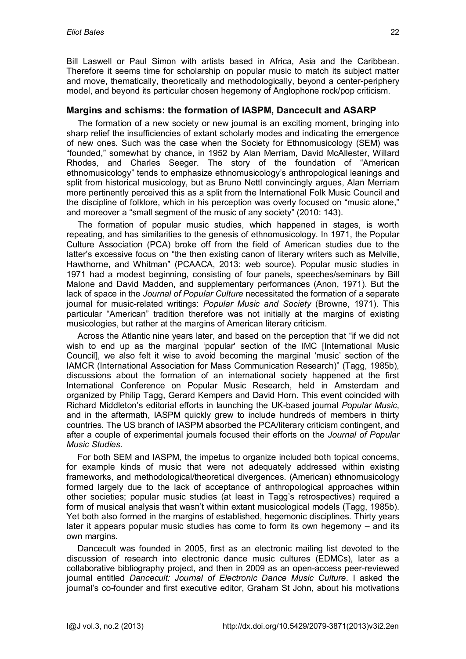Bill Laswell or Paul Simon with artists based in Africa, Asia and the Caribbean. Therefore it seems time for scholarship on popular music to match its subject matter and move, thematically, theoretically and methodologically, beyond a center-periphery model, and beyond its particular chosen hegemony of Anglophone rock/pop criticism.

## **Margins and schisms: the formation of IASPM, Dancecult and ASARP**

The formation of a new society or new journal is an exciting moment, bringing into sharp relief the insufficiencies of extant scholarly modes and indicating the emergence of new ones. Such was the case when the Society for Ethnomusicology (SEM) was "founded," somewhat by chance, in 1952 by Alan Merriam, David McAllester, Willard Rhodes, and Charles Seeger. The story of the foundation of "American ethnomusicology" tends to emphasize ethnomusicology's anthropological leanings and split from historical musicology, but as Bruno Nettl convincingly argues, Alan Merriam more pertinently perceived this as a split from the International Folk Music Council and the discipline of folklore, which in his perception was overly focused on "music alone," and moreover a "small segment of the music of any society" (2010: 143).

The formation of popular music studies, which happened in stages, is worth repeating, and has similarities to the genesis of ethnomusicology. In 1971, the Popular Culture Association (PCA) broke off from the field of American studies due to the latter's excessive focus on "the then existing canon of literary writers such as Melville, Hawthorne, and Whitman" (PCAACA, 2013: web source). Popular music studies in 1971 had a modest beginning, consisting of four panels, speeches/seminars by Bill Malone and David Madden, and supplementary performances (Anon, 1971). But the lack of space in the *Journal of Popular Culture* necessitated the formation of a separate journal for music-related writings: *Popular Music and Society* (Browne, 1971). This particular "American" tradition therefore was not initially at the margins of existing musicologies, but rather at the margins of American literary criticism.

Across the Atlantic nine years later, and based on the perception that "if we did not wish to end up as the marginal 'popular' section of the IMC [International Music Council], we also felt it wise to avoid becoming the marginal 'music' section of the IAMCR (International Association for Mass Communication Research)" (Tagg, 1985b), discussions about the formation of an international society happened at the first International Conference on Popular Music Research, held in Amsterdam and organized by Philip Tagg, Gerard Kempers and David Horn. This event coincided with Richard Middleton's editorial efforts in launching the UK-based journal *Popular Music*, and in the aftermath, IASPM quickly grew to include hundreds of members in thirty countries. The US branch of IASPM absorbed the PCA/literary criticism contingent, and after a couple of experimental journals focused their efforts on the *Journal of Popular Music Studies*.

For both SEM and IASPM, the impetus to organize included both topical concerns, for example kinds of music that were not adequately addressed within existing frameworks, and methodological/theoretical divergences. (American) ethnomusicology formed largely due to the lack of acceptance of anthropological approaches within other societies; popular music studies (at least in Tagg's retrospectives) required a form of musical analysis that wasn't within extant musicological models (Tagg, 1985b). Yet both also formed in the margins of established, hegemonic disciplines. Thirty years later it appears popular music studies has come to form its own hegemony – and its own margins.

Dancecult was founded in 2005, first as an electronic mailing list devoted to the discussion of research into electronic dance music cultures (EDMCs), later as a collaborative bibliography project, and then in 2009 as an open-access peer-reviewed journal entitled *Dancecult: Journal of Electronic Dance Music Culture*. I asked the journal's co-founder and first executive editor, Graham St John, about his motivations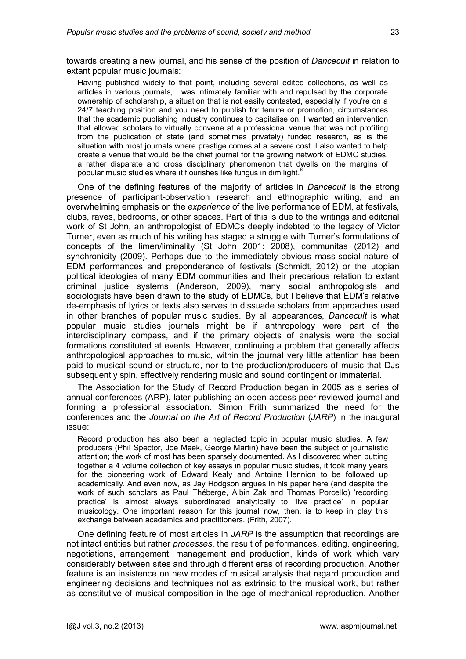towards creating a new journal, and his sense of the position of *Dancecult* in relation to extant popular music journals:

Having published widely to that point, including several edited collections, as well as articles in various journals, I was intimately familiar with and repulsed by the corporate ownership of scholarship, a situation that is not easily contested, especially if you're on a 24/7 teaching position and you need to publish for tenure or promotion, circumstances that the academic publishing industry continues to capitalise on. I wanted an intervention that allowed scholars to virtually convene at a professional venue that was not profiting from the publication of state (and sometimes privately) funded research, as is the situation with most journals where prestige comes at a severe cost. I also wanted to help create a venue that would be the chief journal for the growing network of EDMC studies, a rather disparate and cross disciplinary phenomenon that dwells on the margins of popular music studies where it flourishes like fungus in dim light.<sup>6</sup>

One of the defining features of the majority of articles in *Dancecult* is the strong presence of participant-observation research and ethnographic writing, and an overwhelming emphasis on the *experience* of the live performance of EDM, at festivals, clubs, raves, bedrooms, or other spaces. Part of this is due to the writings and editorial work of St John, an anthropologist of EDMCs deeply indebted to the legacy of Victor Turner, even as much of his writing has staged a struggle with Turner's formulations of concepts of the limen/liminality (St John 2001: 2008), communitas (2012) and synchronicity (2009). Perhaps due to the immediately obvious mass-social nature of EDM performances and preponderance of festivals (Schmidt, 2012) or the utopian political ideologies of many EDM communities and their precarious relation to extant criminal justice systems (Anderson, 2009), many social anthropologists and sociologists have been drawn to the study of EDMCs, but I believe that EDM's relative de-emphasis of lyrics or texts also serves to dissuade scholars from approaches used in other branches of popular music studies. By all appearances, *Dancecult* is what popular music studies journals might be if anthropology were part of the interdisciplinary compass, and if the primary objects of analysis were the social formations constituted at events. However, continuing a problem that generally affects anthropological approaches to music, within the journal very little attention has been paid to musical sound or structure, nor to the production/producers of music that DJs subsequently spin, effectively rendering music and sound contingent or immaterial.

The Association for the Study of Record Production began in 2005 as a series of annual conferences (ARP), later publishing an open-access peer-reviewed journal and forming a professional association. Simon Frith summarized the need for the conferences and the *Journal on the Art of Record Production* (*JARP*) in the inaugural issue:

Record production has also been a neglected topic in popular music studies. A few producers (Phil Spector, Joe Meek, George Martin) have been the subject of journalistic attention; the work of most has been sparsely documented. As I discovered when putting together a 4 volume collection of key essays in popular music studies, it took many years for the pioneering work of Edward Kealy and Antoine Hennion to be followed up academically. And even now, as Jay Hodgson argues in his paper here (and despite the work of such scholars as Paul Théberge, Albin Zak and Thomas Porcello) 'recording practice' is almost always subordinated analytically to 'live practice' in popular musicology. One important reason for this journal now, then, is to keep in play this exchange between academics and practitioners. (Frith, 2007).

One defining feature of most articles in *JARP* is the assumption that recordings are not intact entities but rather *processes*, the result of performances, editing, engineering, negotiations, arrangement, management and production, kinds of work which vary considerably between sites and through different eras of recording production. Another feature is an insistence on new modes of musical analysis that regard production and engineering decisions and techniques not as extrinsic to the musical work, but rather as constitutive of musical composition in the age of mechanical reproduction. Another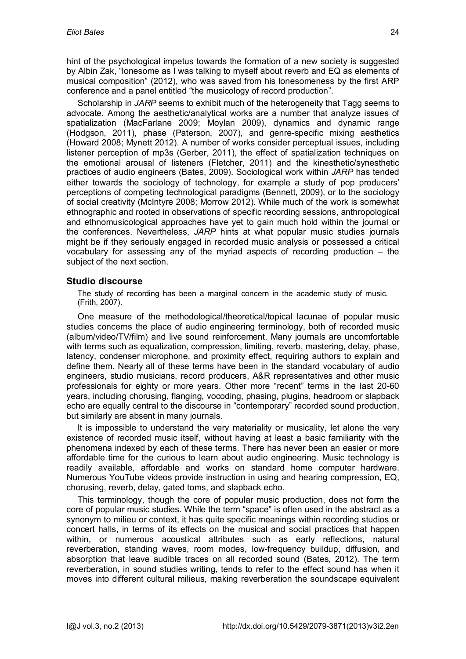hint of the psychological impetus towards the formation of a new society is suggested by Albin Zak, "lonesome as I was talking to myself about reverb and EQ as elements of musical composition" (2012), who was saved from his lonesomeness by the first ARP conference and a panel entitled "the musicology of record production".

Scholarship in *JARP* seems to exhibit much of the heterogeneity that Tagg seems to advocate. Among the aesthetic/analytical works are a number that analyze issues of spatialization (MacFarlane 2009; Moylan 2009), dynamics and dynamic range (Hodgson, 2011), phase (Paterson, 2007), and genre-specific mixing aesthetics (Howard 2008; Mynett 2012). A number of works consider perceptual issues, including listener perception of mp3s (Gerber, 2011), the effect of spatialization techniques on the emotional arousal of listeners (Fletcher, 2011) and the kinesthetic/synesthetic practices of audio engineers (Bates, 2009). Sociological work within *JARP* has tended either towards the sociology of technology, for example a study of pop producers' perceptions of competing technological paradigms (Bennett, 2009), or to the sociology of social creativity (McIntyre 2008; Morrow 2012). While much of the work is somewhat ethnographic and rooted in observations of specific recording sessions, anthropological and ethnomusicological approaches have yet to gain much hold within the journal or the conferences. Nevertheless, *JARP* hints at what popular music studies journals might be if they seriously engaged in recorded music analysis or possessed a critical vocabulary for assessing any of the myriad aspects of recording production – the subject of the next section.

## **Studio discourse**

The study of recording has been a marginal concern in the academic study of music. (Frith, 2007).

One measure of the methodological/theoretical/topical lacunae of popular music studies concerns the place of audio engineering terminology, both of recorded music (album/video/TV/film) and live sound reinforcement. Many journals are uncomfortable with terms such as equalization, compression, limiting, reverb, mastering, delay, phase, latency, condenser microphone, and proximity effect, requiring authors to explain and define them. Nearly all of these terms have been in the standard vocabulary of audio engineers, studio musicians, record producers, A&R representatives and other music professionals for eighty or more years. Other more "recent" terms in the last 20-60 years, including chorusing, flanging, vocoding, phasing, plugins, headroom or slapback echo are equally central to the discourse in "contemporary" recorded sound production, but similarly are absent in many journals.

It is impossible to understand the very materiality or musicality, let alone the very existence of recorded music itself, without having at least a basic familiarity with the phenomena indexed by each of these terms. There has never been an easier or more affordable time for the curious to learn about audio engineering. Music technology is readily available, affordable and works on standard home computer hardware. Numerous YouTube videos provide instruction in using and hearing compression, EQ, chorusing, reverb, delay, gated toms, and slapback echo.

This terminology, though the core of popular music production, does not form the core of popular music studies. While the term "space" is often used in the abstract as a synonym to milieu or context, it has quite specific meanings within recording studios or concert halls, in terms of its effects on the musical and social practices that happen within, or numerous acoustical attributes such as early reflections, natural reverberation, standing waves, room modes, low-frequency buildup, diffusion, and absorption that leave audible traces on all recorded sound (Bates, 2012). The term reverberation, in sound studies writing, tends to refer to the effect sound has when it moves into different cultural milieus, making reverberation the soundscape equivalent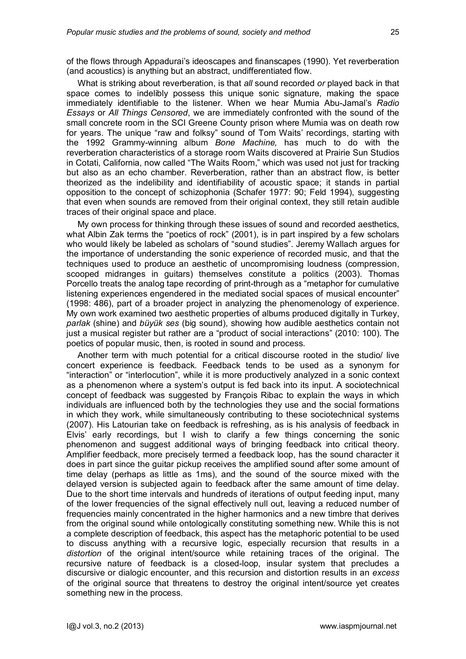of the flows through Appadurai's ideoscapes and finanscapes (1990). Yet reverberation (and acoustics) is anything but an abstract, undifferentiated flow.

What is striking about reverberation, is that *all* sound recorded *or* played back in that space comes to indelibly possess this unique sonic signature, making the space immediately identifiable to the listener. When we hear Mumia Abu-Jamal's *Radio Essays* or *All Things Censored*, we are immediately confronted with the sound of the small concrete room in the SCI Greene County prison where Mumia was on death row for years. The unique "raw and folksy" sound of Tom Waits' recordings, starting with the 1992 Grammy-winning album *Bone Machine,* has much to do with the reverberation characteristics of a storage room Waits discovered at Prairie Sun Studios in Cotati, California, now called "The Waits Room," which was used not just for tracking but also as an echo chamber. Reverberation, rather than an abstract flow, is better theorized as the indelibility and identifiability of acoustic space; it stands in partial opposition to the concept of schizophonia (Schafer 1977: 90; Feld 1994), suggesting that even when sounds are removed from their original context, they still retain audible traces of their original space and place.

My own process for thinking through these issues of sound and recorded aesthetics, what Albin Zak terms the "poetics of rock" (2001), is in part inspired by a few scholars who would likely be labeled as scholars of "sound studies". Jeremy Wallach argues for the importance of understanding the sonic experience of recorded music, and that the techniques used to produce an aesthetic of uncompromising loudness (compression, scooped midranges in guitars) themselves constitute a politics (2003). Thomas Porcello treats the analog tape recording of print-through as a "metaphor for cumulative listening experiences engendered in the mediated social spaces of musical encounter" (1998: 486), part of a broader project in analyzing the phenomenology of experience. My own work examined two aesthetic properties of albums produced digitally in Turkey, *parlak* (shine) and *büyük ses* (big sound), showing how audible aesthetics contain not just a musical register but rather are a "product of social interactions" (2010: 100). The poetics of popular music, then, is rooted in sound and process.

Another term with much potential for a critical discourse rooted in the studio/ live concert experience is feedback. Feedback tends to be used as a synonym for "interaction" or "interlocution", while it is more productively analyzed in a sonic context as a phenomenon where a system's output is fed back into its input. A sociotechnical concept of feedback was suggested by François Ribac to explain the ways in which individuals are influenced both by the technologies they use and the social formations in which they work, while simultaneously contributing to these sociotechnical systems (2007). His Latourian take on feedback is refreshing, as is his analysis of feedback in Elvis' early recordings, but I wish to clarify a few things concerning the sonic phenomenon and suggest additional ways of bringing feedback into critical theory. Amplifier feedback, more precisely termed a feedback loop, has the sound character it does in part since the guitar pickup receives the amplified sound after some amount of time delay (perhaps as little as 1ms), and the sound of the source mixed with the delayed version is subjected again to feedback after the same amount of time delay. Due to the short time intervals and hundreds of iterations of output feeding input, many of the lower frequencies of the signal effectively null out, leaving a reduced number of frequencies mainly concentrated in the higher harmonics and a new timbre that derives from the original sound while ontologically constituting something new. While this is not a complete description of feedback, this aspect has the metaphoric potential to be used to discuss anything with a recursive logic, especially recursion that results in a *distortion* of the original intent/source while retaining traces of the original. The recursive nature of feedback is a closed-loop, insular system that precludes a discursive or dialogic encounter, and this recursion and distortion results in an *excess* of the original source that threatens to destroy the original intent/source yet creates something new in the process.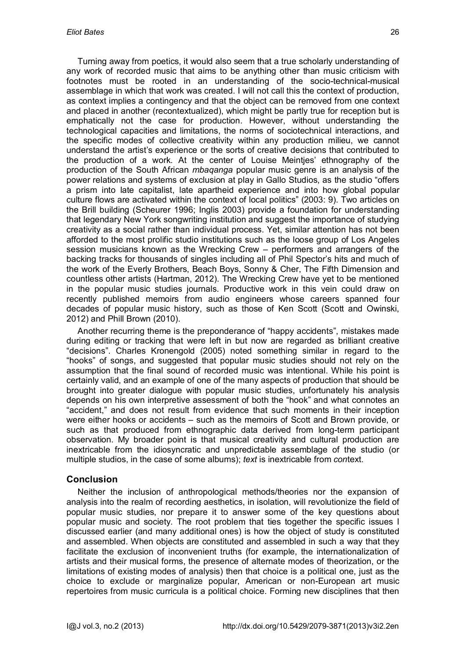Turning away from poetics, it would also seem that a true scholarly understanding of any work of recorded music that aims to be anything other than music criticism with footnotes must be rooted in an understanding of the socio-technical-musical assemblage in which that work was created. I will not call this the context of production, as context implies a contingency and that the object can be removed from one context and placed in another (recontextualized), which might be partly true for reception but is emphatically not the case for production. However, without understanding the technological capacities and limitations, the norms of sociotechnical interactions, and the specific modes of collective creativity within any production milieu, we cannot understand the artist's experience or the sorts of creative decisions that contributed to the production of a work. At the center of Louise Meintjes' ethnography of the production of the South African *mbaqanga* popular music genre is an analysis of the power relations and systems of exclusion at play in Gallo Studios, as the studio "offers a prism into late capitalist, late apartheid experience and into how global popular culture flows are activated within the context of local politics" (2003: 9). Two articles on the Brill building (Scheurer 1996; Inglis 2003) provide a foundation for understanding that legendary New York songwriting institution and suggest the importance of studying creativity as a social rather than individual process. Yet, similar attention has not been afforded to the most prolific studio institutions such as the loose group of Los Angeles session musicians known as the Wrecking Crew – performers and arrangers of the backing tracks for thousands of singles including all of Phil Spector's hits and much of the work of the Everly Brothers, Beach Boys, Sonny & Cher, The Fifth Dimension and countless other artists (Hartman, 2012). The Wrecking Crew have yet to be mentioned in the popular music studies journals. Productive work in this vein could draw on recently published memoirs from audio engineers whose careers spanned four decades of popular music history, such as those of Ken Scott (Scott and Owinski, 2012) and Phill Brown (2010).

Another recurring theme is the preponderance of "happy accidents", mistakes made during editing or tracking that were left in but now are regarded as brilliant creative "decisions". Charles Kronengold (2005) noted something similar in regard to the "hooks" of songs, and suggested that popular music studies should not rely on the assumption that the final sound of recorded music was intentional. While his point is certainly valid, and an example of one of the many aspects of production that should be brought into greater dialogue with popular music studies, unfortunately his analysis depends on his own interpretive assessment of both the "hook" and what connotes an "accident," and does not result from evidence that such moments in their inception were either hooks or accidents – such as the memoirs of Scott and Brown provide, or such as that produced from ethnographic data derived from long-term participant observation. My broader point is that musical creativity and cultural production are inextricable from the idiosyncratic and unpredictable assemblage of the studio (or multiple studios, in the case of some albums); *text* is inextricable from *con*text.

#### **Conclusion**

Neither the inclusion of anthropological methods/theories nor the expansion of analysis into the realm of recording aesthetics, in isolation, will revolutionize the field of popular music studies, nor prepare it to answer some of the key questions about popular music and society. The root problem that ties together the specific issues I discussed earlier (and many additional ones) is how the object of study is constituted and assembled. When objects are constituted and assembled in such a way that they facilitate the exclusion of inconvenient truths (for example, the internationalization of artists and their musical forms, the presence of alternate modes of theorization, or the limitations of existing modes of analysis) then that choice is a political one, just as the choice to exclude or marginalize popular, American or non-European art music repertoires from music curricula is a political choice. Forming new disciplines that then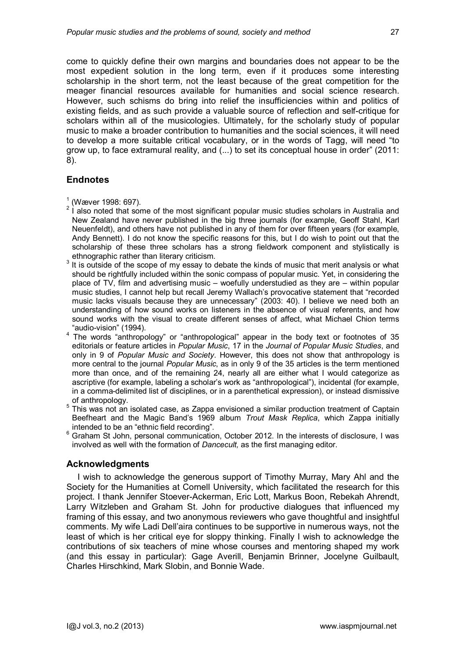come to quickly define their own margins and boundaries does not appear to be the most expedient solution in the long term, even if it produces some interesting scholarship in the short term, not the least because of the great competition for the meager financial resources available for humanities and social science research. However, such schisms do bring into relief the insufficiencies within and politics of existing fields, and as such provide a valuable source of reflection and self-critique for scholars within all of the musicologies. Ultimately, for the scholarly study of popular music to make a broader contribution to humanities and the social sciences, it will need to develop a more suitable critical vocabulary, or in the words of Tagg, will need "to grow up, to face extramural reality, and (...) to set its conceptual house in order" (2011: 8).

## **Endnotes**

- <span id="page-12-0"></span> $1$  (Wæver 1998: 697).
- <span id="page-12-1"></span> $2$  l also noted that some of the most significant popular music studies scholars in Australia and New Zealand have never published in the big three journals (for example, Geoff Stahl, Karl Neuenfeldt), and others have not published in any of them for over fifteen years (for example, Andy Bennett). I do not know the specific reasons for this, but I do wish to point out that the scholarship of these three scholars has a strong fieldwork component and stylistically is ethnographic rather than literary criticism.
- <span id="page-12-2"></span>3 It is outside of the scope of my essay to debate the kinds of music that merit analysis or what should be rightfully included within the sonic compass of popular music. Yet, in considering the place of TV, film and advertising music – woefully understudied as they are – within popular music studies, I cannot help but recall Jeremy Wallach's provocative statement that "recorded music lacks visuals because they are unnecessary" (2003: 40). I believe we need both an understanding of how sound works on listeners in the absence of visual referents, and how sound works with the visual to create different senses of affect, what Michael Chion terms "audio-vision" (1994).
- <span id="page-12-3"></span>4 The words "anthropology" or "anthropological" appear in the body text or footnotes of 35 editorials or feature articles in *Popular Music*, 17 in the *Journal of Popular Music Studies*, and only in 9 of *Popular Music and Society*. However, this does not show that anthropology is more central to the journal *Popular Music*, as in only 9 of the 35 articles is the term mentioned more than once, and of the remaining 24, nearly all are either what I would categorize as ascriptive (for example, labeling a scholar's work as "anthropological"), incidental (for example, in a comma-delimited list of disciplines, or in a parenthetical expression), or instead dismissive of anthropology.
- <span id="page-12-4"></span>5 This was not an isolated case, as Zappa envisioned a similar production treatment of Captain Beefheart and the Magic Band's 1969 album *Trout Mask Replica*, which Zappa initially intended to be an "ethnic field recording".
- 6 Graham St John, personal communication, October 2012. In the interests of disclosure, I was involved as well with the formation of *Dancecult,* as the first managing editor.

#### **Acknowledgments**

I wish to acknowledge the generous support of Timothy Murray, Mary Ahl and the Society for the Humanities at Cornell University, which facilitated the research for this project. I thank Jennifer Stoever-Ackerman, Eric Lott, Markus Boon, Rebekah Ahrendt, Larry Witzleben and Graham St. John for productive dialogues that influenced my framing of this essay, and two anonymous reviewers who gave thoughtful and insightful comments. My wife Ladi Dell'aira continues to be supportive in numerous ways, not the least of which is her critical eye for sloppy thinking. Finally I wish to acknowledge the contributions of six teachers of mine whose courses and mentoring shaped my work (and this essay in particular): Gage Averill, Benjamin Brinner, Jocelyne Guilbault, Charles Hirschkind, Mark Slobin, and Bonnie Wade.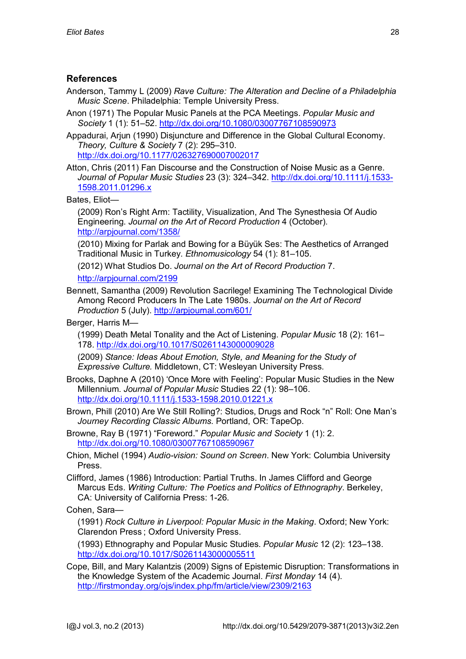## **References**

- Anderson, Tammy L (2009) *Rave Culture: The Alteration and Decline of a Philadelphia Music Scene*. Philadelphia: Temple University Press.
- Anon (1971) The Popular Music Panels at the PCA Meetings. *Popular Music and Society* 1 (1): 51–52. http://dx.doi.org/10.1080/03007767108590973
- Appadurai, Arjun (1990) Disjuncture and Difference in the Global Cultural Economy. *Theory, Culture & Society* 7 (2): 295–310. http://dx.doi.org/10.1177/026327690007002017
- Atton, Chris (2011) Fan Discourse and the Construction of Noise Music as a Genre. *Journal of Popular Music Studies* 23 (3): 324–342. http://dx.doi.org/10.1111/j.1533- 1598.2011.01296.x

Bates, Eliot—

(2009) Ron's Right Arm: Tactility, Visualization, And The Synesthesia Of Audio Engineering. *Journal on the Art of Record Production* 4 (October). http://arpjournal.com/1358/

(2010) Mixing for Parlak and Bowing for a Büyük Ses: The Aesthetics of Arranged Traditional Music in Turkey. *Ethnomusicology* 54 (1): 81–105.

(2012) What Studios Do. *Journal on the Art of Record Production* 7.

http://arpjournal.com/2199

Bennett, Samantha (2009) Revolution Sacrilege! Examining The Technological Divide Among Record Producers In The Late 1980s. *Journal on the Art of Record Production* 5 (July). http://arpjournal.com/601/

Berger, Harris M—

(1999) Death Metal Tonality and the Act of Listening. *Popular Music* 18 (2): 161– 178. http://dx.doi.org/10.1017/S0261143000009028

(2009) *Stance: Ideas About Emotion, Style, and Meaning for the Study of Expressive Culture.* Middletown, CT: Wesleyan University Press.

- Brooks, Daphne A (2010) 'Once More with Feeling': Popular Music Studies in the New Millennium. *Journal of Popular Music* Studies 22 (1): 98–106. http://dx.doi.org/10.1111/j.1533-1598.2010.01221.x
- Brown, Phill (2010) Are We Still Rolling?: Studios, Drugs and Rock "n" Roll: One Man's *Journey Recording Classic Albums*. Portland, OR: TapeOp.
- Browne, Ray B (1971) "Foreword." *Popular Music and Society* 1 (1): 2. http://dx.doi.org/10.1080/03007767108590967
- Chion, Michel (1994) *Audio-vision: Sound on Screen*. New York: Columbia University Press.

Clifford, James (1986) Introduction: Partial Truths. In James Clifford and George Marcus Eds. *Writing Culture: The Poetics and Politics of Ethnography*. Berkeley, CA: University of California Press: 1-26.

Cohen, Sara—

(1991) *Rock Culture in Liverpool: Popular Music in the Making*. Oxford; New York: Clarendon Press ; Oxford University Press.

(1993) Ethnography and Popular Music Studies. *Popular Music* 12 (2): 123–138. http://dx.doi.org/10.1017/S0261143000005511

Cope, Bill, and Mary Kalantzis (2009) Signs of Epistemic Disruption: Transformations in the Knowledge System of the Academic Journal. *First Monday* 14 (4). http://firstmonday.org/ojs/index.php/fm/article/view/2309/2163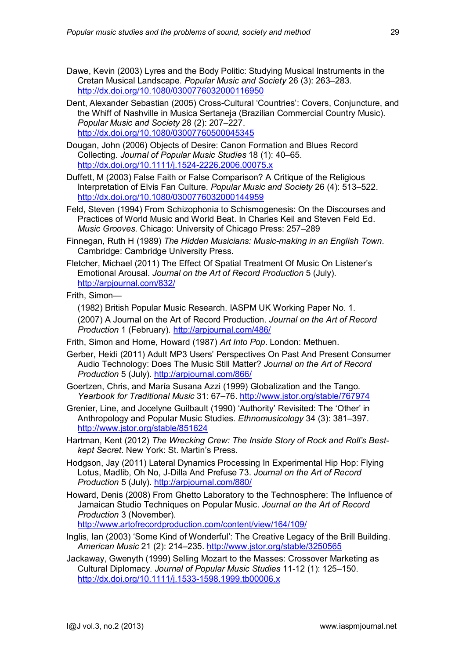- Dawe, Kevin (2003) Lyres and the Body Politic: Studying Musical Instruments in the Cretan Musical Landscape. *Popular Music and Society* 26 (3): 263–283. http://dx.doi.org/10.1080/0300776032000116950
- Dent, Alexander Sebastian (2005) Cross-Cultural 'Countries': Covers, Conjuncture, and the Whiff of Nashville in Musica Sertaneja (Brazilian Commercial Country Music). *Popular Music and Society* 28 (2): 207–227. http://dx.doi.org/10.1080/03007760500045345
- Dougan, John (2006) Objects of Desire: Canon Formation and Blues Record Collecting. *Journal of Popular Music Studies* 18 (1): 40–65. http://dx.doi.org/10.1111/j.1524-2226.2006.00075.x
- Duffett, M (2003) False Faith or False Comparison? A Critique of the Religious Interpretation of Elvis Fan Culture. *Popular Music and Society* 26 (4): 513–522. http://dx.doi.org/10.1080/0300776032000144959
- Feld, Steven (1994) From Schizophonia to Schismogenesis: On the Discourses and Practices of World Music and World Beat. In Charles Keil and Steven Feld Ed. *Music Grooves*. Chicago: University of Chicago Press: 257–289
- Finnegan, Ruth H (1989) *The Hidden Musicians: Music-making in an English Town*. Cambridge: Cambridge University Press.
- Fletcher, Michael (2011) The Effect Of Spatial Treatment Of Music On Listener's Emotional Arousal. *Journal on the Art of Record Production* 5 (July). http://arpjournal.com/832/

#### Frith, Simon—

(1982) British Popular Music Research. IASPM UK Working Paper No. 1.

(2007) A Journal on the Art of Record Production. *Journal on the Art of Record Production* 1 (February). http://arpjournal.com/486/

Frith, Simon and Horne, Howard (1987) *Art Into Pop*. London: Methuen.

- Gerber, Heidi (2011) Adult MP3 Users' Perspectives On Past And Present Consumer Audio Technology: Does The Music Still Matter? *Journal on the Art of Record Production* 5 (July). http://arpjournal.com/866/
- Goertzen, Chris, and María Susana Azzi (1999) Globalization and the Tango. *Yearbook for Traditional Music* 31: 67–76. http://www.jstor.org/stable/767974
- Grenier, Line, and Jocelyne Guilbault (1990) 'Authority' Revisited: The 'Other' in Anthropology and Popular Music Studies. *Ethnomusicology* 34 (3): 381–397. http://www.jstor.org/stable/851624
- Hartman, Kent (2012) *The Wrecking Crew: The Inside Story of Rock and Roll's Bestkept Secret*. New York: St. Martin's Press.
- Hodgson, Jay (2011) Lateral Dynamics Processing In Experimental Hip Hop: Flying Lotus, Madlib, Oh No, J-Dilla And Prefuse 73. *Journal on the Art of Record Production* 5 (July). http://arpjournal.com/880/
- Howard, Denis (2008) From Ghetto Laboratory to the Technosphere: The Influence of Jamaican Studio Techniques on Popular Music. *Journal on the Art of Record Production* 3 (November).

http://www.artofrecordproduction.com/content/view/164/109/

- Inglis, Ian (2003) 'Some Kind of Wonderful': The Creative Legacy of the Brill Building. *American Music* 21 (2): 214–235. http://www.jstor.org/stable/3250565
- Jackaway, Gwenyth (1999) Selling Mozart to the Masses: Crossover Marketing as Cultural Diplomacy. *Journal of Popular Music Studies* 11-12 (1): 125–150. http://dx.doi.org/10.1111/j.1533-1598.1999.tb00006.x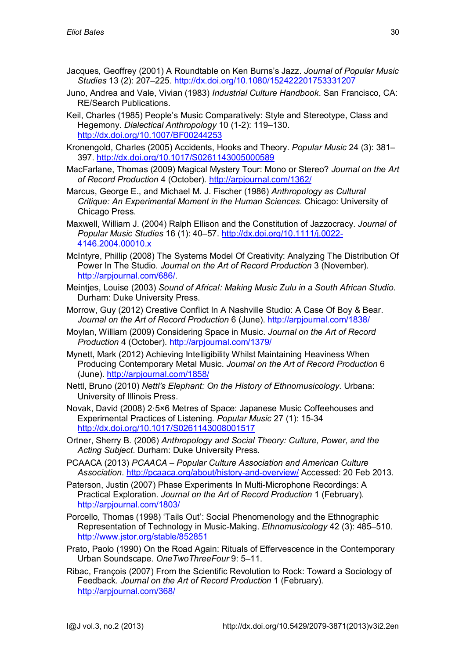- Jacques, Geoffrey (2001) A Roundtable on Ken Burns's Jazz. *Journal of Popular Music Studies* 13 (2): 207–225. http://dx.doi.org/10.1080/152422201753331207
- Juno, Andrea and Vale, Vivian (1983) *Industrial Culture Handbook*. San Francisco, CA: RE/Search Publications.
- Keil, Charles (1985) People's Music Comparatively: Style and Stereotype, Class and Hegemony. *Dialectical Anthropology* 10 (1-2): 119–130. http://dx.doi.org/10.1007/BF00244253
- Kronengold, Charles (2005) Accidents, Hooks and Theory. *Popular Music* 24 (3): 381– 397. http://dx.doi.org/10.1017/S0261143005000589
- MacFarlane, Thomas (2009) Magical Mystery Tour: Mono or Stereo? *Journal on the Art of Record Production* 4 (October). http://arpjournal.com/1362/
- Marcus, George E., and Michael M. J. Fischer (1986) *Anthropology as Cultural Critique: An Experimental Moment in the Human Sciences*. Chicago: University of Chicago Press.
- Maxwell, William J. (2004) Ralph Ellison and the Constitution of Jazzocracy. *Journal of Popular Music Studies* 16 (1): 40–57. http://dx.doi.org/10.1111/j.0022- 4146.2004.00010.x
- McIntyre, Phillip (2008) The Systems Model Of Creativity: Analyzing The Distribution Of Power In The Studio. *Journal on the Art of Record Production* 3 (November). http://arpjournal.com/686/.
- Meintjes, Louise (2003) *Sound of Africa!: Making Music Zulu in a South African Studio*. Durham: Duke University Press.
- Morrow, Guy (2012) Creative Conflict In A Nashville Studio: A Case Of Boy & Bear. *Journal on the Art of Record Production* 6 (June). http://arpjournal.com/1838/
- Moylan, William (2009) Considering Space in Music. *Journal on the Art of Record Production* 4 (October). http://arpjournal.com/1379/
- Mynett, Mark (2012) Achieving Intelligibility Whilst Maintaining Heaviness When Producing Contemporary Metal Music. *Journal on the Art of Record Production* 6 (June). http://arpjournal.com/1858/
- Nettl, Bruno (2010) *Nettl's Elephant: On the History of Ethnomusicology*. Urbana: University of Illinois Press.
- Novak, David (2008) 2·5×6 Metres of Space: Japanese Music Coffeehouses and Experimental Practices of Listening. *Popular Music* 27 (1): 15-34 http://dx.doi.org/10.1017/S0261143008001517
- Ortner, Sherry B. (2006) *Anthropology and Social Theory: Culture, Power, and the Acting Subject*. Durham: Duke University Press.
- PCAACA (2013) *PCAACA Popular Culture Association and American Culture Association*. http://pcaaca.org/about/history-and-overview/ Accessed: 20 Feb 2013.
- Paterson, Justin (2007) Phase Experiments In Multi-Microphone Recordings: A Practical Exploration. *Journal on the Art of Record Production* 1 (February). http://arpjournal.com/1803/
- Porcello, Thomas (1998) 'Tails Out': Social Phenomenology and the Ethnographic Representation of Technology in Music-Making. *Ethnomusicology* 42 (3): 485–510. http://www.jstor.org/stable/852851
- Prato, Paolo (1990) On the Road Again: Rituals of Effervescence in the Contemporary Urban Soundscape. *OneTwoThreeFour* 9: 5–11.
- Ribac, François (2007) From the Scientific Revolution to Rock: Toward a Sociology of Feedback. *Journal on the Art of Record Production* 1 (February). http://arpjournal.com/368/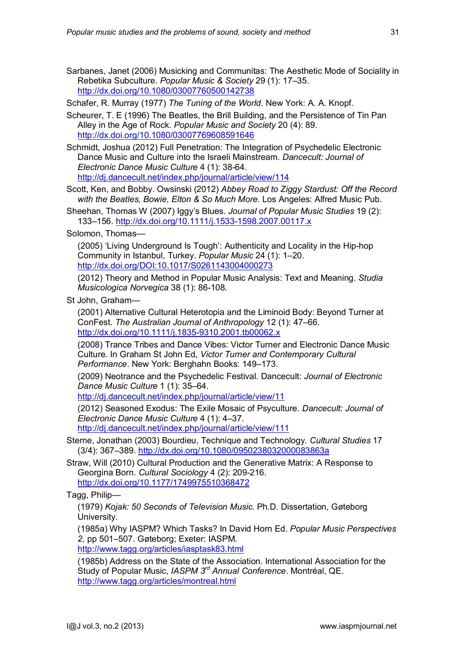- Sarbanes, Janet (2006) Musicking and Communitas: The Aesthetic Mode of Sociality in Rebetika Subculture. *Popular Music & Society* 29 (1): 17–35. http://dx.doi.org/10.1080/03007760500142738
- Schafer, R. Murray (1977) *The Tuning of the World*. New York: A. A. Knopf.
- Scheurer, T. E (1996) The Beatles, the Brill Building, and the Persistence of Tin Pan Alley in the Age of Rock. *Popular Music and Society* 20 (4): 89. http://dx.doi.org/10.1080/03007769608591646

Schmidt, Joshua (2012) Full Penetration: The Integration of Psychedelic Electronic Dance Music and Culture into the Israeli Mainstream. *Dancecult: Journal of Electronic Dance Music Culture* 4 (1): 38-64. http://dj.dancecult.net/index.php/journal/article/view/114

Scott, Ken, and Bobby. Owsinski (2012) *Abbey Road to Ziggy Stardust: Off the Record with the Beatles, Bowie, Elton & So Much More*. Los Angeles: Alfred Music Pub.

Sheehan, Thomas W (2007) Iggy's Blues. *Journal of Popular Music Studies* 19 (2): 133–156. http://dx.doi.org/10.1111/j.1533-1598.2007.00117.x

Solomon, Thomas—

(2005) 'Living Underground Is Tough': Authenticity and Locality in the Hip-hop Community in Istanbul, Turkey. *Popular Music* 24 (1): 1–20. http://dx.doi.org/DOI:10.1017/S0261143004000273

(2012) Theory and Method in Popular Music Analysis: Text and Meaning. *Studia Musicologica Norvegica* 38 (1): 86-108.

St John, Graham—

(2001) Alternative Cultural Heterotopia and the Liminoid Body: Beyond Turner at ConFest. *The Australian Journal of Anthropology* 12 (1): 47–66. http://dx.doi.org/10.1111/j.1835-9310.2001.tb00062.x

(2008) Trance Tribes and Dance Vibes: Victor Turner and Electronic Dance Music Culture. In Graham St John Ed, *Victor Turner and Contemporary Cultural Performance*. New York: Berghahn Books: 149–173.

(2009) Neotrance and the Psychedelic Festival. Dancecult: *Journal of Electronic Dance Music Culture* 1 (1): 35–64.

http://dj.dancecult.net/index.php/journal/article/view/11

(2012) Seasoned Exodus: The Exile Mosaic of Psyculture. *Dancecult: Journal of Electronic Dance Music Culture* 4 (1): 4–37.

http://dj.dancecult.net/index.php/journal/article/view/111

Sterne, Jonathan (2003) Bourdieu, Technique and Technology. *Cultural Studies* 17 (3/4): 367–389. http://dx.doi.org/10.1080/0950238032000083863a

Straw, Will (2010) Cultural Production and the Generative Matrix: A Response to Georgina Born. *Cultural Sociology* 4 (2): 209-216. http://dx.doi.org/10.1177/1749975510368472

Tagg, Philip—

(1979) *Kojak: 50 Seconds of Television Music*. Ph.D. Dissertation, Gøteborg University.

(1985a) Why IASPM? Which Tasks? In David Horn Ed. *Popular Music Perspectives 2*, pp 501–507. Gøteborg; Exeter: IASPM.

http://www.tagg.org/articles/iasptask83.html

(1985b) Address on the State of the Association. International Association for the Study of Popular Music, *IASPM 3rd Annual Conference*. Montréal, QE. http://www.tagg.org/articles/montreal.html